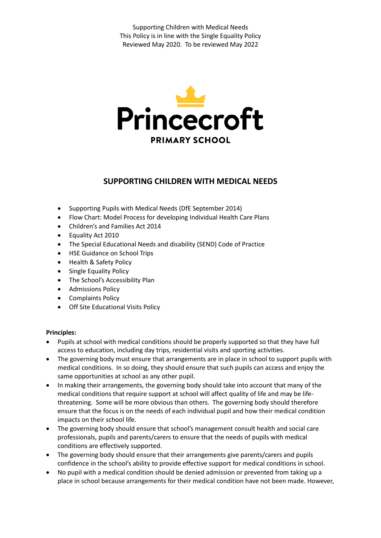

# **SUPPORTING CHILDREN WITH MEDICAL NEEDS**

- Supporting Pupils with Medical Needs (DfE September 2014)
- Flow Chart: Model Process for developing Individual Health Care Plans
- Children's and Families Act 2014
- Equality Act 2010
- The Special Educational Needs and disability (SEND) Code of Practice
- HSE Guidance on School Trips
- Health & Safety Policy
- Single Equality Policy
- The School's Accessibility Plan
- **•** Admissions Policy
- Complaints Policy
- Off Site Educational Visits Policy

# **Principles:**

- Pupils at school with medical conditions should be properly supported so that they have full access to education, including day trips, residential visits and sporting activities.
- The governing body must ensure that arrangements are in place in school to support pupils with medical conditions. In so doing, they should ensure that such pupils can access and enjoy the same opportunities at school as any other pupil.
- In making their arrangements, the governing body should take into account that many of the medical conditions that require support at school will affect quality of life and may be lifethreatening. Some will be more obvious than others. The governing body should therefore ensure that the focus is on the needs of each individual pupil and how their medical condition impacts on their school life.
- The governing body should ensure that school's management consult health and social care professionals, pupils and parents/carers to ensure that the needs of pupils with medical conditions are effectively supported.
- The governing body should ensure that their arrangements give parents/carers and pupils confidence in the school's ability to provide effective support for medical conditions in school.
- No pupil with a medical condition should be denied admission or prevented from taking up a place in school because arrangements for their medical condition have not been made. However,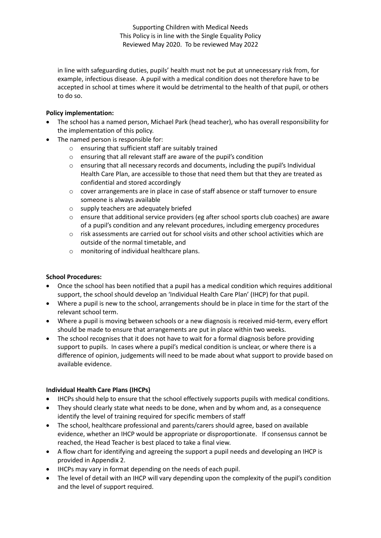in line with safeguarding duties, pupils' health must not be put at unnecessary risk from, for example, infectious disease. A pupil with a medical condition does not therefore have to be accepted in school at times where it would be detrimental to the health of that pupil, or others to do so.

# **Policy implementation:**

- The school has a named person, Michael Park (head teacher), who has overall responsibility for the implementation of this policy.
- The named person is responsible for:
	- o ensuring that sufficient staff are suitably trained
	- o ensuring that all relevant staff are aware of the pupil's condition
	- o ensuring that all necessary records and documents, including the pupil's Individual Health Care Plan, are accessible to those that need them but that they are treated as confidential and stored accordingly
	- o cover arrangements are in place in case of staff absence or staff turnover to ensure someone is always available
	- o supply teachers are adequately briefed
	- o ensure that additional service providers (eg after school sports club coaches) are aware of a pupil's condition and any relevant procedures, including emergency procedures
	- o risk assessments are carried out for school visits and other school activities which are outside of the normal timetable, and
	- o monitoring of individual healthcare plans.

# **School Procedures:**

- Once the school has been notified that a pupil has a medical condition which requires additional support, the school should develop an 'Individual Health Care Plan' (IHCP) for that pupil.
- Where a pupil is new to the school, arrangements should be in place in time for the start of the relevant school term.
- Where a pupil is moving between schools or a new diagnosis is received mid-term, every effort should be made to ensure that arrangements are put in place within two weeks.
- The school recognises that it does not have to wait for a formal diagnosis before providing support to pupils. In cases where a pupil's medical condition is unclear, or where there is a difference of opinion, judgements will need to be made about what support to provide based on available evidence.

# **Individual Health Care Plans (IHCPs)**

- IHCPs should help to ensure that the school effectively supports pupils with medical conditions.
- They should clearly state what needs to be done, when and by whom and, as a consequence identify the level of training required for specific members of staff
- The school, healthcare professional and parents/carers should agree, based on available evidence, whether an IHCP would be appropriate or disproportionate. If consensus cannot be reached, the Head Teacher is best placed to take a final view.
- A flow chart for identifying and agreeing the support a pupil needs and developing an IHCP is provided in Appendix 2.
- IHCPs may vary in format depending on the needs of each pupil.
- The level of detail with an IHCP will vary depending upon the complexity of the pupil's condition and the level of support required.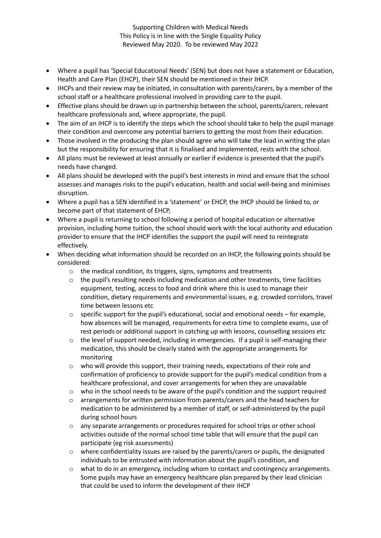- Where a pupil has 'Special Educational Needs' (SEN) but does not have a statement or Education, Health and Care Plan (EHCP), their SEN should be mentioned in their IHCP.
- IHCPs and their review may be initiated, in consultation with parents/carers, by a member of the school staff or a healthcare professional involved in providing care to the pupil.
- Effective plans should be drawn up in partnership between the school, parents/carers, relevant healthcare professionals and, where appropriate, the pupil.
- The aim of an IHCP is to identify the steps which the school should take to help the pupil manage their condition and overcome any potential barriers to getting the most from their education.
- Those involved in the producing the plan should agree who will take the lead in writing the plan but the responsibility for ensuring that it is finalised and implemented, rests with the school.
- All plans must be reviewed at least annually or earlier if evidence is presented that the pupil's needs have changed.
- All plans should be developed with the pupil's best interests in mind and ensure that the school assesses and manages risks to the pupil's education, health and social well-being and minimises disruption.
- Where a pupil has a SEN identified in a 'statement' or EHCP, the IHCP should be linked to, or become part of that statement of EHCP,
- Where a pupil is returning to school following a period of hospital education or alternative provision, including home tuition, the school should work with the local authority and education provider to ensure that the IHCP identifies the support the pupil will need to reintegrate effectively.
- When deciding what information should be recorded on an IHCP, the following points should be considered:
	- o the medical condition, its triggers, signs, symptoms and treatments
	- $\circ$  the pupil's resulting needs including medication and other treatments, time facilities equipment, testing, access to food and drink where this is used to manage their condition, dietary requirements and environmental issues, e.g. crowded corridors, travel time between lessons etc
	- o specific support for the pupil's educational, social and emotional needs for example, how absences will be managed, requirements for extra time to complete exams, use of rest periods or additional support in catching up with lessons, counselling sessions etc
	- $\circ$  the level of support needed, including in emergencies. If a pupil is self-managing their medication, this should be clearly stated with the appropriate arrangements for monitoring
	- o who will provide this support, their training needs, expectations of their role and confirmation of proficiency to provide support for the pupil's medical condition from a healthcare professional, and cover arrangements for when they are unavailable
	- o who in the school needs to be aware of the pupil's condition and the support required
	- o arrangements for written permission from parents/carers and the head teachers for medication to be administered by a member of staff, or self-administered by the pupil during school hours
	- o any separate arrangements or procedures required for school trips or other school activities outside of the normal school time table that will ensure that the pupil can participate (eg risk assessments)
	- $\circ$  where confidentiality issues are raised by the parents/carers or pupils, the designated individuals to be entrusted with information about the pupil's condition, and
	- o what to do in an emergency, including whom to contact and contingency arrangements. Some pupils may have an emergency healthcare plan prepared by their lead clinician that could be used to inform the development of their IHCP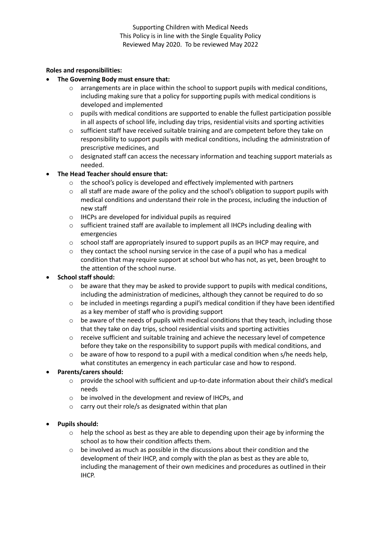#### **Roles and responsibilities:**

- **The Governing Body must ensure that:**
	- $\circ$  arrangements are in place within the school to support pupils with medical conditions, including making sure that a policy for supporting pupils with medical conditions is developed and implemented
	- o pupils with medical conditions are supported to enable the fullest participation possible in all aspects of school life, including day trips, residential visits and sporting activities
	- o sufficient staff have received suitable training and are competent before they take on responsibility to support pupils with medical conditions, including the administration of prescriptive medicines, and
	- o designated staff can access the necessary information and teaching support materials as needed.

# **The Head Teacher should ensure that:**

- o the school's policy is developed and effectively implemented with partners
- o all staff are made aware of the policy and the school's obligation to support pupils with medical conditions and understand their role in the process, including the induction of new staff
- o IHCPs are developed for individual pupils as required
- $\circ$  sufficient trained staff are available to implement all IHCPs including dealing with emergencies
- $\circ$  school staff are appropriately insured to support pupils as an IHCP may require, and
- $\circ$  they contact the school nursing service in the case of a pupil who has a medical condition that may require support at school but who has not, as yet, been brought to the attention of the school nurse.

# **School staff should:**

- $\circ$  be aware that they may be asked to provide support to pupils with medical conditions, including the administration of medicines, although they cannot be required to do so
- $\circ$  be included in meetings regarding a pupil's medical condition if they have been identified as a key member of staff who is providing support
- $\circ$  be aware of the needs of pupils with medical conditions that they teach, including those that they take on day trips, school residential visits and sporting activities
- o receive sufficient and suitable training and achieve the necessary level of competence before they take on the responsibility to support pupils with medical conditions, and
- $\circ$  be aware of how to respond to a pupil with a medical condition when s/he needs help, what constitutes an emergency in each particular case and how to respond.

# **Parents/carers should:**

- o provide the school with sufficient and up-to-date information about their child's medical needs
- o be involved in the development and review of IHCPs, and
- o carry out their role/s as designated within that plan
- **Pupils should:**
	- $\circ$  help the school as best as they are able to depending upon their age by informing the school as to how their condition affects them.
	- be involved as much as possible in the discussions about their condition and the development of their IHCP, and comply with the plan as best as they are able to, including the management of their own medicines and procedures as outlined in their IHCP.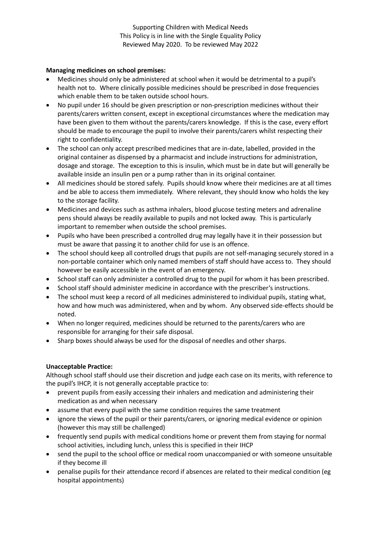#### **Managing medicines on school premises:**

- Medicines should only be administered at school when it would be detrimental to a pupil's health not to. Where clinically possible medicines should be prescribed in dose frequencies which enable them to be taken outside school hours.
- No pupil under 16 should be given prescription or non-prescription medicines without their parents/carers written consent, except in exceptional circumstances where the medication may have been given to them without the parents/carers knowledge. If this is the case, every effort should be made to encourage the pupil to involve their parents/carers whilst respecting their right to confidentiality.
- The school can only accept prescribed medicines that are in-date, labelled, provided in the original container as dispensed by a pharmacist and include instructions for administration, dosage and storage. The exception to this is insulin, which must be in date but will generally be available inside an insulin pen or a pump rather than in its original container.
- All medicines should be stored safely. Pupils should know where their medicines are at all times and be able to access them immediately. Where relevant, they should know who holds the key to the storage facility.
- Medicines and devices such as asthma inhalers, blood glucose testing meters and adrenaline pens should always be readily available to pupils and not locked away. This is particularly important to remember when outside the school premises.
- Pupils who have been prescribed a controlled drug may legally have it in their possession but must be aware that passing it to another child for use is an offence.
- The school should keep all controlled drugs that pupils are not self-managing securely stored in a non-portable container which only named members of staff should have access to. They should however be easily accessible in the event of an emergency.
- School staff can only administer a controlled drug to the pupil for whom it has been prescribed.
- School staff should administer medicine in accordance with the prescriber's instructions.
- The school must keep a record of all medicines administered to individual pupils, stating what, how and how much was administered, when and by whom. Any observed side-effects should be noted.
- When no longer required, medicines should be returned to the parents/carers who are responsible for arranging for their safe disposal.
- Sharp boxes should always be used for the disposal of needles and other sharps.

# **Unacceptable Practice:**

Although school staff should use their discretion and judge each case on its merits, with reference to the pupil's IHCP, it is not generally acceptable practice to:

- prevent pupils from easily accessing their inhalers and medication and administering their medication as and when necessary
- assume that every pupil with the same condition requires the same treatment
- ignore the views of the pupil or their parents/carers, or ignoring medical evidence or opinion (however this may still be challenged)
- frequently send pupils with medical conditions home or prevent them from staying for normal school activities, including lunch, unless this is specified in their IHCP
- send the pupil to the school office or medical room unaccompanied or with someone unsuitable if they become ill
- penalise pupils for their attendance record if absences are related to their medical condition (eg hospital appointments)